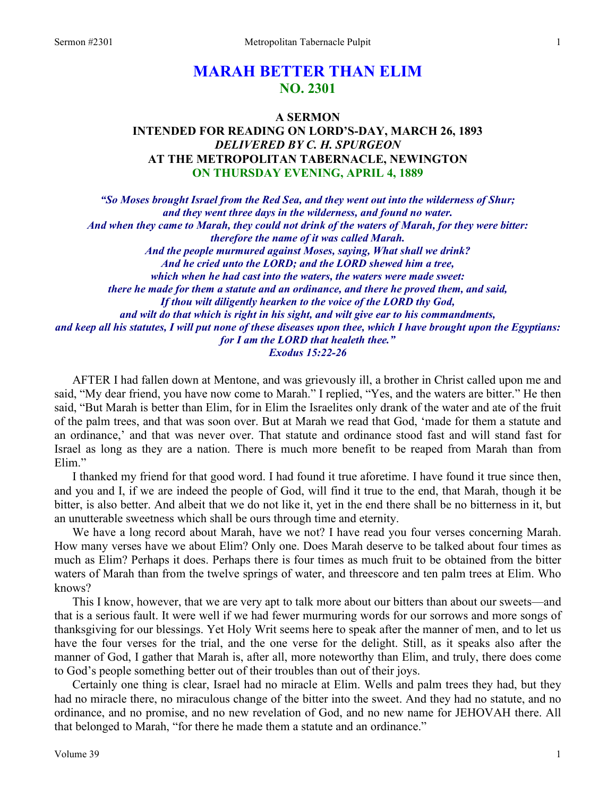# **MARAH BETTER THAN ELIM NO. 2301**

## **A SERMON INTENDED FOR READING ON LORD'S-DAY, MARCH 26, 1893**  *DELIVERED BY C. H. SPURGEON*  **AT THE METROPOLITAN TABERNACLE, NEWINGTON ON THURSDAY EVENING, APRIL 4, 1889**

*"So Moses brought Israel from the Red Sea, and they went out into the wilderness of Shur; and they went three days in the wilderness, and found no water. And when they came to Marah, they could not drink of the waters of Marah, for they were bitter: therefore the name of it was called Marah. And the people murmured against Moses, saying, What shall we drink? And he cried unto the LORD; and the LORD shewed him a tree, which when he had cast into the waters, the waters were made sweet: there he made for them a statute and an ordinance, and there he proved them, and said, If thou wilt diligently hearken to the voice of the LORD thy God, and wilt do that which is right in his sight, and wilt give ear to his commandments, and keep all his statutes, I will put none of these diseases upon thee, which I have brought upon the Egyptians: for I am the LORD that healeth thee." Exodus 15:22-26* 

AFTER I had fallen down at Mentone, and was grievously ill, a brother in Christ called upon me and said, "My dear friend, you have now come to Marah." I replied, "Yes, and the waters are bitter." He then said, "But Marah is better than Elim, for in Elim the Israelites only drank of the water and ate of the fruit of the palm trees, and that was soon over. But at Marah we read that God, 'made for them a statute and an ordinance,' and that was never over. That statute and ordinance stood fast and will stand fast for Israel as long as they are a nation. There is much more benefit to be reaped from Marah than from Elim."

I thanked my friend for that good word. I had found it true aforetime. I have found it true since then, and you and I, if we are indeed the people of God, will find it true to the end, that Marah, though it be bitter, is also better. And albeit that we do not like it, yet in the end there shall be no bitterness in it, but an unutterable sweetness which shall be ours through time and eternity.

We have a long record about Marah, have we not? I have read you four verses concerning Marah. How many verses have we about Elim? Only one. Does Marah deserve to be talked about four times as much as Elim? Perhaps it does. Perhaps there is four times as much fruit to be obtained from the bitter waters of Marah than from the twelve springs of water, and threescore and ten palm trees at Elim. Who knows?

This I know, however, that we are very apt to talk more about our bitters than about our sweets—and that is a serious fault. It were well if we had fewer murmuring words for our sorrows and more songs of thanksgiving for our blessings. Yet Holy Writ seems here to speak after the manner of men, and to let us have the four verses for the trial, and the one verse for the delight. Still, as it speaks also after the manner of God, I gather that Marah is, after all, more noteworthy than Elim, and truly, there does come to God's people something better out of their troubles than out of their joys.

Certainly one thing is clear, Israel had no miracle at Elim. Wells and palm trees they had, but they had no miracle there, no miraculous change of the bitter into the sweet. And they had no statute, and no ordinance, and no promise, and no new revelation of God, and no new name for JEHOVAH there. All that belonged to Marah, "for there he made them a statute and an ordinance."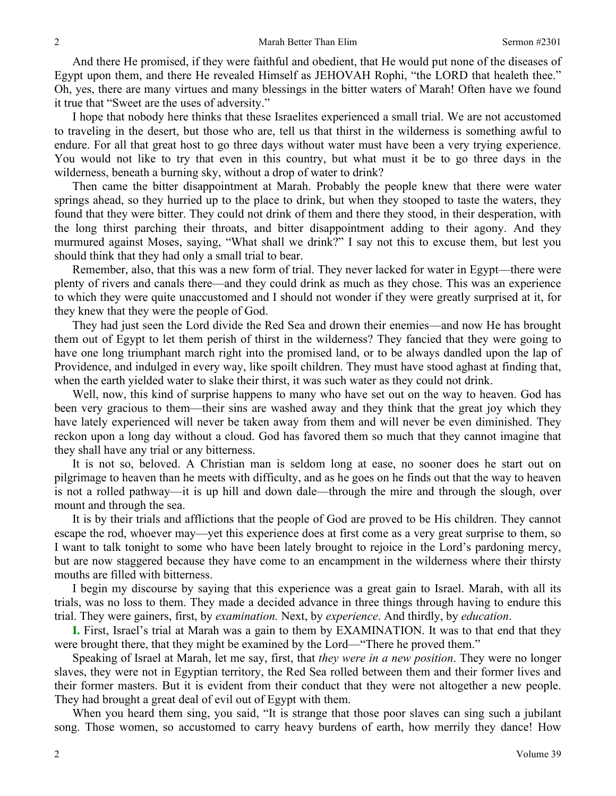And there He promised, if they were faithful and obedient, that He would put none of the diseases of Egypt upon them, and there He revealed Himself as JEHOVAH Rophi, "the LORD that healeth thee." Oh, yes, there are many virtues and many blessings in the bitter waters of Marah! Often have we found it true that "Sweet are the uses of adversity."

I hope that nobody here thinks that these Israelites experienced a small trial. We are not accustomed to traveling in the desert, but those who are, tell us that thirst in the wilderness is something awful to endure. For all that great host to go three days without water must have been a very trying experience. You would not like to try that even in this country, but what must it be to go three days in the wilderness, beneath a burning sky, without a drop of water to drink?

Then came the bitter disappointment at Marah. Probably the people knew that there were water springs ahead, so they hurried up to the place to drink, but when they stooped to taste the waters, they found that they were bitter. They could not drink of them and there they stood, in their desperation, with the long thirst parching their throats, and bitter disappointment adding to their agony. And they murmured against Moses, saying, "What shall we drink?" I say not this to excuse them, but lest you should think that they had only a small trial to bear.

Remember, also, that this was a new form of trial. They never lacked for water in Egypt—there were plenty of rivers and canals there—and they could drink as much as they chose. This was an experience to which they were quite unaccustomed and I should not wonder if they were greatly surprised at it, for they knew that they were the people of God.

They had just seen the Lord divide the Red Sea and drown their enemies—and now He has brought them out of Egypt to let them perish of thirst in the wilderness? They fancied that they were going to have one long triumphant march right into the promised land, or to be always dandled upon the lap of Providence, and indulged in every way, like spoilt children. They must have stood aghast at finding that, when the earth yielded water to slake their thirst, it was such water as they could not drink.

Well, now, this kind of surprise happens to many who have set out on the way to heaven. God has been very gracious to them—their sins are washed away and they think that the great joy which they have lately experienced will never be taken away from them and will never be even diminished. They reckon upon a long day without a cloud. God has favored them so much that they cannot imagine that they shall have any trial or any bitterness.

It is not so, beloved. A Christian man is seldom long at ease, no sooner does he start out on pilgrimage to heaven than he meets with difficulty, and as he goes on he finds out that the way to heaven is not a rolled pathway—it is up hill and down dale—through the mire and through the slough, over mount and through the sea.

It is by their trials and afflictions that the people of God are proved to be His children. They cannot escape the rod, whoever may—yet this experience does at first come as a very great surprise to them, so I want to talk tonight to some who have been lately brought to rejoice in the Lord's pardoning mercy, but are now staggered because they have come to an encampment in the wilderness where their thirsty mouths are filled with bitterness.

I begin my discourse by saying that this experience was a great gain to Israel. Marah, with all its trials, was no loss to them. They made a decided advance in three things through having to endure this trial. They were gainers, first, by *examination.* Next, by *experience*. And thirdly, by *education*.

**I.** First, Israel's trial at Marah was a gain to them by EXAMINATION. It was to that end that they were brought there, that they might be examined by the Lord—"There he proved them."

Speaking of Israel at Marah, let me say, first, that *they were in a new position*. They were no longer slaves, they were not in Egyptian territory, the Red Sea rolled between them and their former lives and their former masters. But it is evident from their conduct that they were not altogether a new people. They had brought a great deal of evil out of Egypt with them.

When you heard them sing, you said, "It is strange that those poor slaves can sing such a jubilant song. Those women, so accustomed to carry heavy burdens of earth, how merrily they dance! How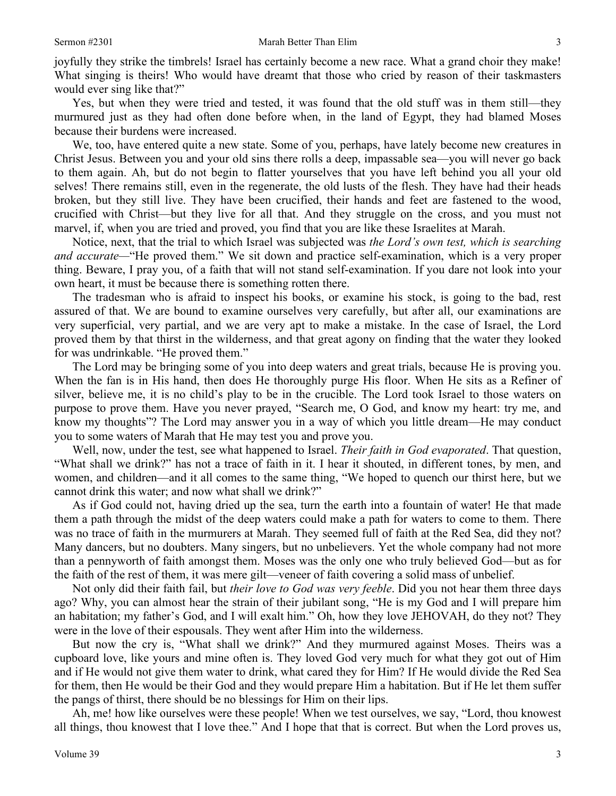joyfully they strike the timbrels! Israel has certainly become a new race. What a grand choir they make! What singing is theirs! Who would have dreamt that those who cried by reason of their taskmasters would ever sing like that?"

Yes, but when they were tried and tested, it was found that the old stuff was in them still—they murmured just as they had often done before when, in the land of Egypt, they had blamed Moses because their burdens were increased.

We, too, have entered quite a new state. Some of you, perhaps, have lately become new creatures in Christ Jesus. Between you and your old sins there rolls a deep, impassable sea—you will never go back to them again. Ah, but do not begin to flatter yourselves that you have left behind you all your old selves! There remains still, even in the regenerate, the old lusts of the flesh. They have had their heads broken, but they still live. They have been crucified, their hands and feet are fastened to the wood, crucified with Christ—but they live for all that. And they struggle on the cross, and you must not marvel, if, when you are tried and proved, you find that you are like these Israelites at Marah.

Notice, next, that the trial to which Israel was subjected was *the Lord's own test, which is searching and accurate—*"He proved them." We sit down and practice self-examination, which is a very proper thing. Beware, I pray you, of a faith that will not stand self-examination. If you dare not look into your own heart, it must be because there is something rotten there.

The tradesman who is afraid to inspect his books, or examine his stock, is going to the bad, rest assured of that. We are bound to examine ourselves very carefully, but after all, our examinations are very superficial, very partial, and we are very apt to make a mistake. In the case of Israel, the Lord proved them by that thirst in the wilderness, and that great agony on finding that the water they looked for was undrinkable. "He proved them."

The Lord may be bringing some of you into deep waters and great trials, because He is proving you. When the fan is in His hand, then does He thoroughly purge His floor. When He sits as a Refiner of silver, believe me, it is no child's play to be in the crucible. The Lord took Israel to those waters on purpose to prove them. Have you never prayed, "Search me, O God, and know my heart: try me, and know my thoughts"? The Lord may answer you in a way of which you little dream—He may conduct you to some waters of Marah that He may test you and prove you.

Well, now, under the test, see what happened to Israel. *Their faith in God evaporated*. That question, "What shall we drink?" has not a trace of faith in it. I hear it shouted, in different tones, by men, and women, and children—and it all comes to the same thing, "We hoped to quench our thirst here, but we cannot drink this water; and now what shall we drink?"

As if God could not, having dried up the sea, turn the earth into a fountain of water! He that made them a path through the midst of the deep waters could make a path for waters to come to them. There was no trace of faith in the murmurers at Marah. They seemed full of faith at the Red Sea, did they not? Many dancers, but no doubters. Many singers, but no unbelievers. Yet the whole company had not more than a pennyworth of faith amongst them. Moses was the only one who truly believed God—but as for the faith of the rest of them, it was mere gilt—veneer of faith covering a solid mass of unbelief.

Not only did their faith fail, but *their love to God was very feeble*. Did you not hear them three days ago? Why, you can almost hear the strain of their jubilant song, "He is my God and I will prepare him an habitation; my father's God, and I will exalt him." Oh, how they love JEHOVAH, do they not? They were in the love of their espousals. They went after Him into the wilderness.

But now the cry is, "What shall we drink?" And they murmured against Moses. Theirs was a cupboard love, like yours and mine often is. They loved God very much for what they got out of Him and if He would not give them water to drink, what cared they for Him? If He would divide the Red Sea for them, then He would be their God and they would prepare Him a habitation. But if He let them suffer the pangs of thirst, there should be no blessings for Him on their lips.

Ah, me! how like ourselves were these people! When we test ourselves, we say, "Lord, thou knowest all things, thou knowest that I love thee." And I hope that that is correct. But when the Lord proves us,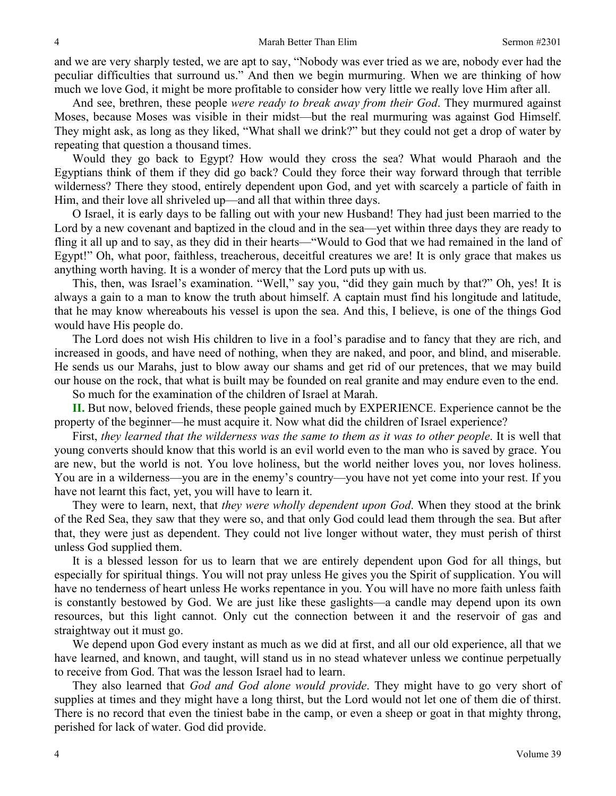and we are very sharply tested, we are apt to say, "Nobody was ever tried as we are, nobody ever had the peculiar difficulties that surround us." And then we begin murmuring. When we are thinking of how much we love God, it might be more profitable to consider how very little we really love Him after all.

And see, brethren, these people *were ready to break away from their God*. They murmured against Moses, because Moses was visible in their midst—but the real murmuring was against God Himself. They might ask, as long as they liked, "What shall we drink?" but they could not get a drop of water by repeating that question a thousand times.

Would they go back to Egypt? How would they cross the sea? What would Pharaoh and the Egyptians think of them if they did go back? Could they force their way forward through that terrible wilderness? There they stood, entirely dependent upon God, and yet with scarcely a particle of faith in Him, and their love all shriveled up—and all that within three days.

O Israel, it is early days to be falling out with your new Husband! They had just been married to the Lord by a new covenant and baptized in the cloud and in the sea—yet within three days they are ready to fling it all up and to say, as they did in their hearts—"Would to God that we had remained in the land of Egypt!" Oh, what poor, faithless, treacherous, deceitful creatures we are! It is only grace that makes us anything worth having. It is a wonder of mercy that the Lord puts up with us.

This, then, was Israel's examination. "Well," say you, "did they gain much by that?" Oh, yes! It is always a gain to a man to know the truth about himself. A captain must find his longitude and latitude, that he may know whereabouts his vessel is upon the sea. And this, I believe, is one of the things God would have His people do.

The Lord does not wish His children to live in a fool's paradise and to fancy that they are rich, and increased in goods, and have need of nothing, when they are naked, and poor, and blind, and miserable. He sends us our Marahs, just to blow away our shams and get rid of our pretences, that we may build our house on the rock, that what is built may be founded on real granite and may endure even to the end.

So much for the examination of the children of Israel at Marah.

**II.** But now, beloved friends, these people gained much by EXPERIENCE. Experience cannot be the property of the beginner—he must acquire it. Now what did the children of Israel experience?

First, *they learned that the wilderness was the same to them as it was to other people*. It is well that young converts should know that this world is an evil world even to the man who is saved by grace. You are new, but the world is not. You love holiness, but the world neither loves you, nor loves holiness. You are in a wilderness—you are in the enemy's country—you have not yet come into your rest. If you have not learnt this fact, yet, you will have to learn it.

They were to learn, next, that *they were wholly dependent upon God*. When they stood at the brink of the Red Sea, they saw that they were so, and that only God could lead them through the sea. But after that, they were just as dependent. They could not live longer without water, they must perish of thirst unless God supplied them.

It is a blessed lesson for us to learn that we are entirely dependent upon God for all things, but especially for spiritual things. You will not pray unless He gives you the Spirit of supplication. You will have no tenderness of heart unless He works repentance in you. You will have no more faith unless faith is constantly bestowed by God. We are just like these gaslights—a candle may depend upon its own resources, but this light cannot. Only cut the connection between it and the reservoir of gas and straightway out it must go.

We depend upon God every instant as much as we did at first, and all our old experience, all that we have learned, and known, and taught, will stand us in no stead whatever unless we continue perpetually to receive from God. That was the lesson Israel had to learn.

They also learned that *God and God alone would provide*. They might have to go very short of supplies at times and they might have a long thirst, but the Lord would not let one of them die of thirst. There is no record that even the tiniest babe in the camp, or even a sheep or goat in that mighty throng, perished for lack of water. God did provide.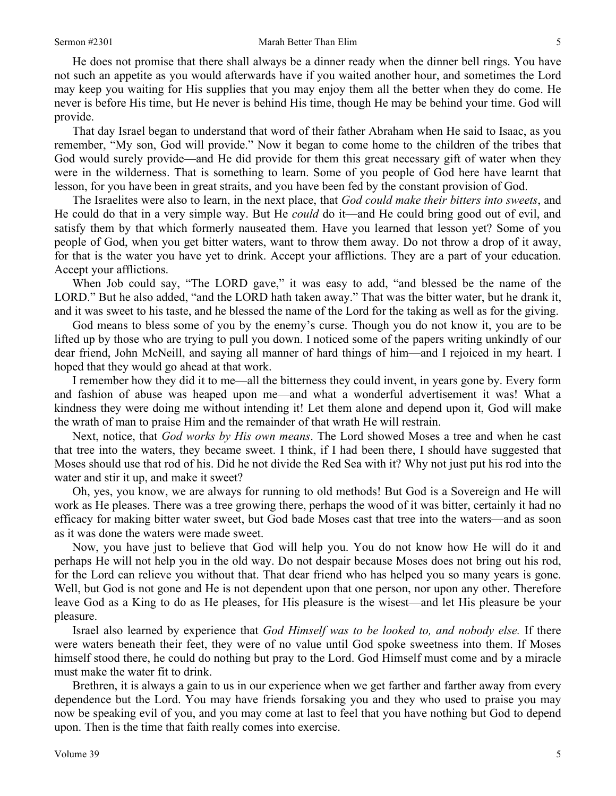He does not promise that there shall always be a dinner ready when the dinner bell rings. You have not such an appetite as you would afterwards have if you waited another hour, and sometimes the Lord may keep you waiting for His supplies that you may enjoy them all the better when they do come. He never is before His time, but He never is behind His time, though He may be behind your time. God will provide.

That day Israel began to understand that word of their father Abraham when He said to Isaac, as you remember, "My son, God will provide." Now it began to come home to the children of the tribes that God would surely provide—and He did provide for them this great necessary gift of water when they were in the wilderness. That is something to learn. Some of you people of God here have learnt that lesson, for you have been in great straits, and you have been fed by the constant provision of God.

The Israelites were also to learn, in the next place, that *God could make their bitters into sweets*, and He could do that in a very simple way. But He *could* do it—and He could bring good out of evil, and satisfy them by that which formerly nauseated them. Have you learned that lesson yet? Some of you people of God, when you get bitter waters, want to throw them away. Do not throw a drop of it away, for that is the water you have yet to drink. Accept your afflictions. They are a part of your education. Accept your afflictions.

When Job could say, "The LORD gave," it was easy to add, "and blessed be the name of the LORD." But he also added, "and the LORD hath taken away." That was the bitter water, but he drank it, and it was sweet to his taste, and he blessed the name of the Lord for the taking as well as for the giving.

God means to bless some of you by the enemy's curse. Though you do not know it, you are to be lifted up by those who are trying to pull you down. I noticed some of the papers writing unkindly of our dear friend, John McNeill, and saying all manner of hard things of him—and I rejoiced in my heart. I hoped that they would go ahead at that work.

I remember how they did it to me—all the bitterness they could invent, in years gone by. Every form and fashion of abuse was heaped upon me—and what a wonderful advertisement it was! What a kindness they were doing me without intending it! Let them alone and depend upon it, God will make the wrath of man to praise Him and the remainder of that wrath He will restrain.

Next, notice, that *God works by His own means*. The Lord showed Moses a tree and when he cast that tree into the waters, they became sweet. I think, if I had been there, I should have suggested that Moses should use that rod of his. Did he not divide the Red Sea with it? Why not just put his rod into the water and stir it up, and make it sweet?

Oh, yes, you know, we are always for running to old methods! But God is a Sovereign and He will work as He pleases. There was a tree growing there, perhaps the wood of it was bitter, certainly it had no efficacy for making bitter water sweet, but God bade Moses cast that tree into the waters—and as soon as it was done the waters were made sweet.

Now, you have just to believe that God will help you. You do not know how He will do it and perhaps He will not help you in the old way. Do not despair because Moses does not bring out his rod, for the Lord can relieve you without that. That dear friend who has helped you so many years is gone. Well, but God is not gone and He is not dependent upon that one person, nor upon any other. Therefore leave God as a King to do as He pleases, for His pleasure is the wisest—and let His pleasure be your pleasure.

Israel also learned by experience that *God Himself was to be looked to, and nobody else.* If there were waters beneath their feet, they were of no value until God spoke sweetness into them. If Moses himself stood there, he could do nothing but pray to the Lord. God Himself must come and by a miracle must make the water fit to drink.

Brethren, it is always a gain to us in our experience when we get farther and farther away from every dependence but the Lord. You may have friends forsaking you and they who used to praise you may now be speaking evil of you, and you may come at last to feel that you have nothing but God to depend upon. Then is the time that faith really comes into exercise.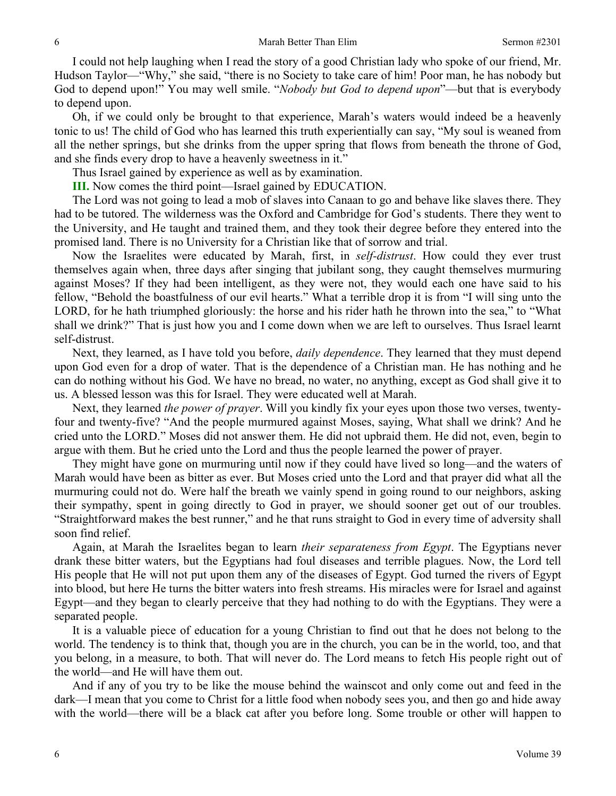I could not help laughing when I read the story of a good Christian lady who spoke of our friend, Mr. Hudson Taylor—"Why," she said, "there is no Society to take care of him! Poor man, he has nobody but God to depend upon!" You may well smile. "*Nobody but God to depend upon*"—but that is everybody to depend upon.

Oh, if we could only be brought to that experience, Marah's waters would indeed be a heavenly tonic to us! The child of God who has learned this truth experientially can say, "My soul is weaned from all the nether springs, but she drinks from the upper spring that flows from beneath the throne of God, and she finds every drop to have a heavenly sweetness in it."

Thus Israel gained by experience as well as by examination.

**III.** Now comes the third point—Israel gained by EDUCATION.

The Lord was not going to lead a mob of slaves into Canaan to go and behave like slaves there. They had to be tutored. The wilderness was the Oxford and Cambridge for God's students. There they went to the University, and He taught and trained them, and they took their degree before they entered into the promised land. There is no University for a Christian like that of sorrow and trial.

Now the Israelites were educated by Marah, first, in *self-distrust*. How could they ever trust themselves again when, three days after singing that jubilant song, they caught themselves murmuring against Moses? If they had been intelligent, as they were not, they would each one have said to his fellow, "Behold the boastfulness of our evil hearts." What a terrible drop it is from "I will sing unto the LORD, for he hath triumphed gloriously: the horse and his rider hath he thrown into the sea," to "What shall we drink?" That is just how you and I come down when we are left to ourselves. Thus Israel learnt self-distrust.

Next, they learned, as I have told you before, *daily dependence*. They learned that they must depend upon God even for a drop of water. That is the dependence of a Christian man. He has nothing and he can do nothing without his God. We have no bread, no water, no anything, except as God shall give it to us. A blessed lesson was this for Israel. They were educated well at Marah.

Next, they learned *the power of prayer*. Will you kindly fix your eyes upon those two verses, twentyfour and twenty-five? "And the people murmured against Moses, saying, What shall we drink? And he cried unto the LORD." Moses did not answer them. He did not upbraid them. He did not, even, begin to argue with them. But he cried unto the Lord and thus the people learned the power of prayer.

They might have gone on murmuring until now if they could have lived so long—and the waters of Marah would have been as bitter as ever. But Moses cried unto the Lord and that prayer did what all the murmuring could not do. Were half the breath we vainly spend in going round to our neighbors, asking their sympathy, spent in going directly to God in prayer, we should sooner get out of our troubles. "Straightforward makes the best runner," and he that runs straight to God in every time of adversity shall soon find relief.

Again, at Marah the Israelites began to learn *their separateness from Egypt*. The Egyptians never drank these bitter waters, but the Egyptians had foul diseases and terrible plagues. Now, the Lord tell His people that He will not put upon them any of the diseases of Egypt. God turned the rivers of Egypt into blood, but here He turns the bitter waters into fresh streams. His miracles were for Israel and against Egypt—and they began to clearly perceive that they had nothing to do with the Egyptians. They were a separated people.

It is a valuable piece of education for a young Christian to find out that he does not belong to the world. The tendency is to think that, though you are in the church, you can be in the world, too, and that you belong, in a measure, to both. That will never do. The Lord means to fetch His people right out of the world—and He will have them out.

And if any of you try to be like the mouse behind the wainscot and only come out and feed in the dark—I mean that you come to Christ for a little food when nobody sees you, and then go and hide away with the world—there will be a black cat after you before long. Some trouble or other will happen to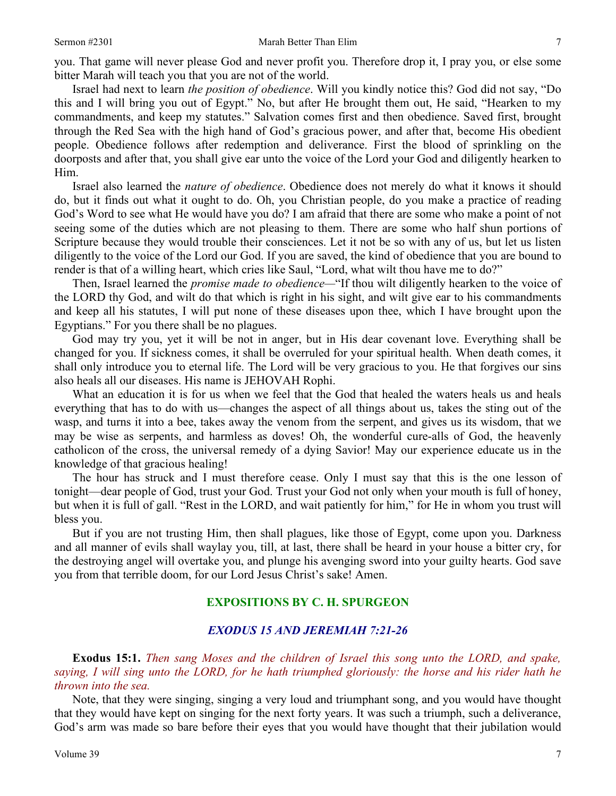you. That game will never please God and never profit you. Therefore drop it, I pray you, or else some bitter Marah will teach you that you are not of the world.

Israel had next to learn *the position of obedience*. Will you kindly notice this? God did not say, "Do this and I will bring you out of Egypt." No, but after He brought them out, He said, "Hearken to my commandments, and keep my statutes." Salvation comes first and then obedience. Saved first, brought through the Red Sea with the high hand of God's gracious power, and after that, become His obedient people. Obedience follows after redemption and deliverance. First the blood of sprinkling on the doorposts and after that, you shall give ear unto the voice of the Lord your God and diligently hearken to Him.

Israel also learned the *nature of obedience*. Obedience does not merely do what it knows it should do, but it finds out what it ought to do. Oh, you Christian people, do you make a practice of reading God's Word to see what He would have you do? I am afraid that there are some who make a point of not seeing some of the duties which are not pleasing to them. There are some who half shun portions of Scripture because they would trouble their consciences. Let it not be so with any of us, but let us listen diligently to the voice of the Lord our God. If you are saved, the kind of obedience that you are bound to render is that of a willing heart, which cries like Saul, "Lord, what wilt thou have me to do?"

Then, Israel learned the *promise made to obedience—*"If thou wilt diligently hearken to the voice of the LORD thy God, and wilt do that which is right in his sight, and wilt give ear to his commandments and keep all his statutes, I will put none of these diseases upon thee, which I have brought upon the Egyptians." For you there shall be no plagues.

God may try you, yet it will be not in anger, but in His dear covenant love. Everything shall be changed for you. If sickness comes, it shall be overruled for your spiritual health. When death comes, it shall only introduce you to eternal life. The Lord will be very gracious to you. He that forgives our sins also heals all our diseases. His name is JEHOVAH Rophi.

What an education it is for us when we feel that the God that healed the waters heals us and heals everything that has to do with us—changes the aspect of all things about us, takes the sting out of the wasp, and turns it into a bee, takes away the venom from the serpent, and gives us its wisdom, that we may be wise as serpents, and harmless as doves! Oh, the wonderful cure-alls of God, the heavenly catholicon of the cross, the universal remedy of a dying Savior! May our experience educate us in the knowledge of that gracious healing!

The hour has struck and I must therefore cease. Only I must say that this is the one lesson of tonight—dear people of God, trust your God. Trust your God not only when your mouth is full of honey, but when it is full of gall. "Rest in the LORD, and wait patiently for him," for He in whom you trust will bless you.

But if you are not trusting Him, then shall plagues, like those of Egypt, come upon you. Darkness and all manner of evils shall waylay you, till, at last, there shall be heard in your house a bitter cry, for the destroying angel will overtake you, and plunge his avenging sword into your guilty hearts. God save you from that terrible doom, for our Lord Jesus Christ's sake! Amen.

# **EXPOSITIONS BY C. H. SPURGEON**

## *EXODUS 15 AND JEREMIAH 7:21-26*

**Exodus 15:1.** *Then sang Moses and the children of Israel this song unto the LORD, and spake, saying, I will sing unto the LORD, for he hath triumphed gloriously: the horse and his rider hath he thrown into the sea.* 

Note, that they were singing, singing a very loud and triumphant song, and you would have thought that they would have kept on singing for the next forty years. It was such a triumph, such a deliverance, God's arm was made so bare before their eyes that you would have thought that their jubilation would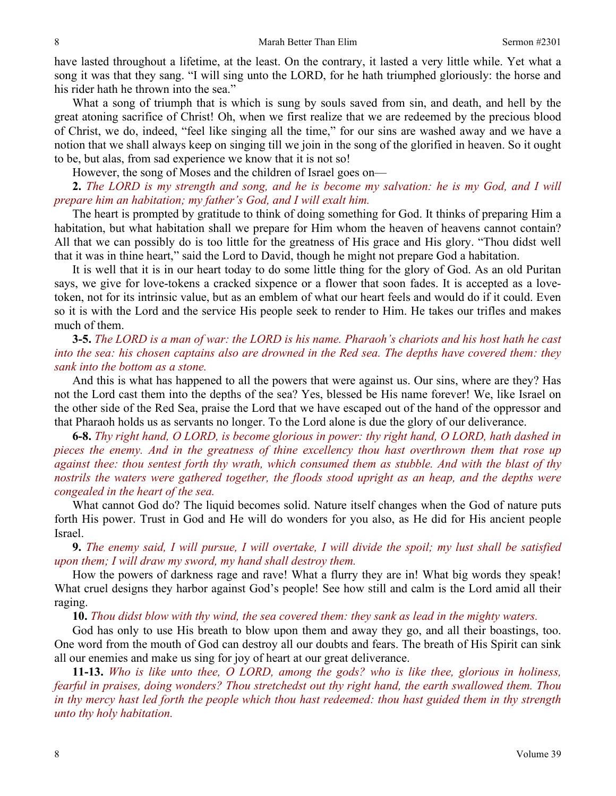have lasted throughout a lifetime, at the least. On the contrary, it lasted a very little while. Yet what a song it was that they sang. "I will sing unto the LORD, for he hath triumphed gloriously: the horse and his rider hath he thrown into the sea."

What a song of triumph that is which is sung by souls saved from sin, and death, and hell by the great atoning sacrifice of Christ! Oh, when we first realize that we are redeemed by the precious blood of Christ, we do, indeed, "feel like singing all the time," for our sins are washed away and we have a notion that we shall always keep on singing till we join in the song of the glorified in heaven. So it ought to be, but alas, from sad experience we know that it is not so!

However, the song of Moses and the children of Israel goes on—

**2.** *The LORD is my strength and song, and he is become my salvation: he is my God, and I will prepare him an habitation; my father's God, and I will exalt him.* 

The heart is prompted by gratitude to think of doing something for God. It thinks of preparing Him a habitation, but what habitation shall we prepare for Him whom the heaven of heavens cannot contain? All that we can possibly do is too little for the greatness of His grace and His glory. "Thou didst well that it was in thine heart," said the Lord to David, though he might not prepare God a habitation.

It is well that it is in our heart today to do some little thing for the glory of God. As an old Puritan says, we give for love-tokens a cracked sixpence or a flower that soon fades. It is accepted as a lovetoken, not for its intrinsic value, but as an emblem of what our heart feels and would do if it could. Even so it is with the Lord and the service His people seek to render to Him. He takes our trifles and makes much of them.

**3-5.** *The LORD is a man of war: the LORD is his name. Pharaoh's chariots and his host hath he cast into the sea: his chosen captains also are drowned in the Red sea. The depths have covered them: they sank into the bottom as a stone.* 

And this is what has happened to all the powers that were against us. Our sins, where are they? Has not the Lord cast them into the depths of the sea? Yes, blessed be His name forever! We, like Israel on the other side of the Red Sea, praise the Lord that we have escaped out of the hand of the oppressor and that Pharaoh holds us as servants no longer. To the Lord alone is due the glory of our deliverance.

**6-8.** *Thy right hand, O LORD, is become glorious in power: thy right hand, O LORD, hath dashed in pieces the enemy. And in the greatness of thine excellency thou hast overthrown them that rose up against thee: thou sentest forth thy wrath, which consumed them as stubble. And with the blast of thy nostrils the waters were gathered together, the floods stood upright as an heap, and the depths were congealed in the heart of the sea.* 

What cannot God do? The liquid becomes solid. Nature itself changes when the God of nature puts forth His power. Trust in God and He will do wonders for you also, as He did for His ancient people Israel.

**9.** *The enemy said, I will pursue, I will overtake, I will divide the spoil; my lust shall be satisfied upon them; I will draw my sword, my hand shall destroy them.* 

How the powers of darkness rage and rave! What a flurry they are in! What big words they speak! What cruel designs they harbor against God's people! See how still and calm is the Lord amid all their raging.

**10.** *Thou didst blow with thy wind, the sea covered them: they sank as lead in the mighty waters.* 

God has only to use His breath to blow upon them and away they go, and all their boastings, too. One word from the mouth of God can destroy all our doubts and fears. The breath of His Spirit can sink all our enemies and make us sing for joy of heart at our great deliverance.

**11-13.** *Who is like unto thee, O LORD, among the gods? who is like thee, glorious in holiness, fearful in praises, doing wonders? Thou stretchedst out thy right hand, the earth swallowed them. Thou in thy mercy hast led forth the people which thou hast redeemed: thou hast guided them in thy strength unto thy holy habitation.*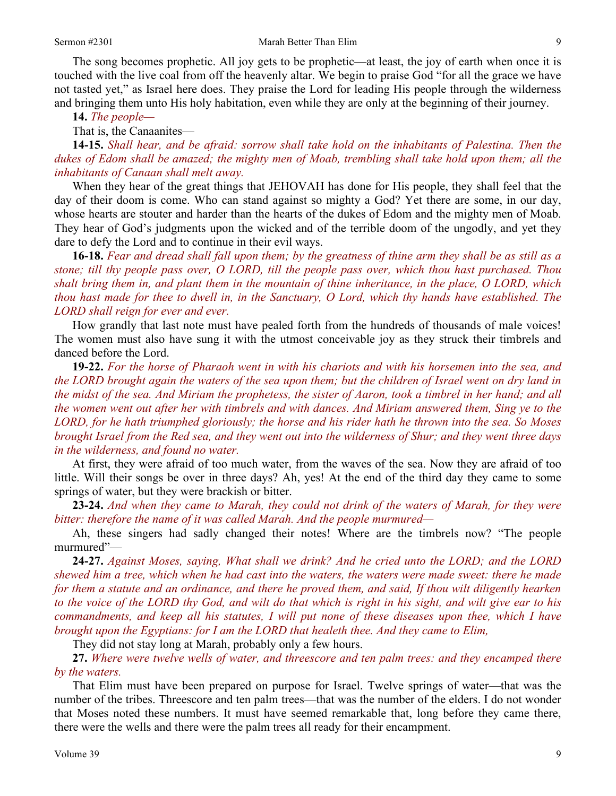The song becomes prophetic. All joy gets to be prophetic—at least, the joy of earth when once it is touched with the live coal from off the heavenly altar. We begin to praise God "for all the grace we have not tasted yet," as Israel here does. They praise the Lord for leading His people through the wilderness and bringing them unto His holy habitation, even while they are only at the beginning of their journey.

**14.** *The people—* 

That is, the Canaanites—

**14-15.** *Shall hear, and be afraid: sorrow shall take hold on the inhabitants of Palestina. Then the dukes of Edom shall be amazed; the mighty men of Moab, trembling shall take hold upon them; all the inhabitants of Canaan shall melt away.* 

When they hear of the great things that JEHOVAH has done for His people, they shall feel that the day of their doom is come. Who can stand against so mighty a God? Yet there are some, in our day, whose hearts are stouter and harder than the hearts of the dukes of Edom and the mighty men of Moab. They hear of God's judgments upon the wicked and of the terrible doom of the ungodly, and yet they dare to defy the Lord and to continue in their evil ways.

**16-18.** *Fear and dread shall fall upon them; by the greatness of thine arm they shall be as still as a stone; till thy people pass over, O LORD, till the people pass over, which thou hast purchased. Thou shalt bring them in, and plant them in the mountain of thine inheritance, in the place, O LORD, which thou hast made for thee to dwell in, in the Sanctuary, O Lord, which thy hands have established. The LORD shall reign for ever and ever.* 

How grandly that last note must have pealed forth from the hundreds of thousands of male voices! The women must also have sung it with the utmost conceivable joy as they struck their timbrels and danced before the Lord.

**19-22.** *For the horse of Pharaoh went in with his chariots and with his horsemen into the sea, and the LORD brought again the waters of the sea upon them; but the children of Israel went on dry land in the midst of the sea. And Miriam the prophetess, the sister of Aaron, took a timbrel in her hand; and all the women went out after her with timbrels and with dances. And Miriam answered them, Sing ye to the LORD, for he hath triumphed gloriously; the horse and his rider hath he thrown into the sea. So Moses brought Israel from the Red sea, and they went out into the wilderness of Shur; and they went three days in the wilderness, and found no water.* 

At first, they were afraid of too much water, from the waves of the sea. Now they are afraid of too little. Will their songs be over in three days? Ah, yes! At the end of the third day they came to some springs of water, but they were brackish or bitter.

**23-24.** *And when they came to Marah, they could not drink of the waters of Marah, for they were bitter: therefore the name of it was called Marah. And the people murmured—* 

Ah, these singers had sadly changed their notes! Where are the timbrels now? "The people murmured"—

**24-27.** *Against Moses, saying, What shall we drink? And he cried unto the LORD; and the LORD shewed him a tree, which when he had cast into the waters, the waters were made sweet: there he made for them a statute and an ordinance, and there he proved them, and said, If thou wilt diligently hearken to the voice of the LORD thy God, and wilt do that which is right in his sight, and wilt give ear to his commandments, and keep all his statutes, I will put none of these diseases upon thee, which I have brought upon the Egyptians: for I am the LORD that healeth thee. And they came to Elim,* 

They did not stay long at Marah, probably only a few hours.

**27.** *Where were twelve wells of water, and threescore and ten palm trees: and they encamped there by the waters.* 

That Elim must have been prepared on purpose for Israel. Twelve springs of water—that was the number of the tribes. Threescore and ten palm trees—that was the number of the elders. I do not wonder that Moses noted these numbers. It must have seemed remarkable that, long before they came there, there were the wells and there were the palm trees all ready for their encampment.